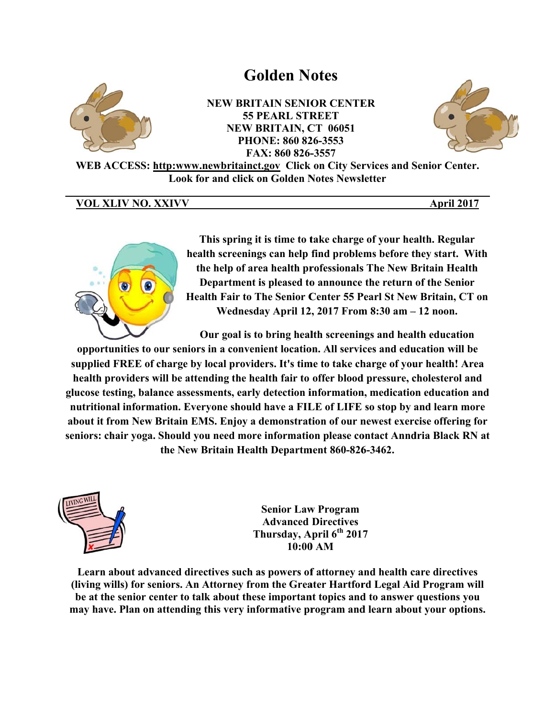# **Golden Notes**



**NEW BRITAIN SENIOR CENTER 55 PEARL STREET NEW BRITAIN, CT 06051** PHONE: 860 826-3553 FAX: 860 826-3557



WEB ACCESS: http:www.newbritainct.gov Click on City Services and Senior Center. **Look for and click on Golden Notes Newsletter** 

# VOL XLIV NO. XXIVV

April 2017



This spring it is time to take charge of your health. Regular health screenings can help find problems before they start. With the help of area health professionals The New Britain Health Department is pleased to announce the return of the Senior Health Fair to The Senior Center 55 Pearl St New Britain, CT on Wednesday April 12, 2017 From 8:30 am - 12 noon.

Our goal is to bring health screenings and health education

opportunities to our seniors in a convenient location. All services and education will be supplied FREE of charge by local providers. It's time to take charge of your health! Area health providers will be attending the health fair to offer blood pressure, cholesterol and glucose testing, balance assessments, early detection information, medication education and nutritional information. Everyone should have a FILE of LIFE so stop by and learn more about it from New Britain EMS. Enjoy a demonstration of our newest exercise offering for seniors: chair yoga. Should you need more information please contact Anndria Black RN at the New Britain Health Department 860-826-3462.



**Senior Law Program Advanced Directives** Thursday, April 6<sup>th</sup> 2017  $10:00 AM$ 

Learn about advanced directives such as powers of attorney and health care directives (living wills) for seniors. An Attorney from the Greater Hartford Legal Aid Program will be at the senior center to talk about these important topics and to answer questions you may have. Plan on attending this very informative program and learn about your options.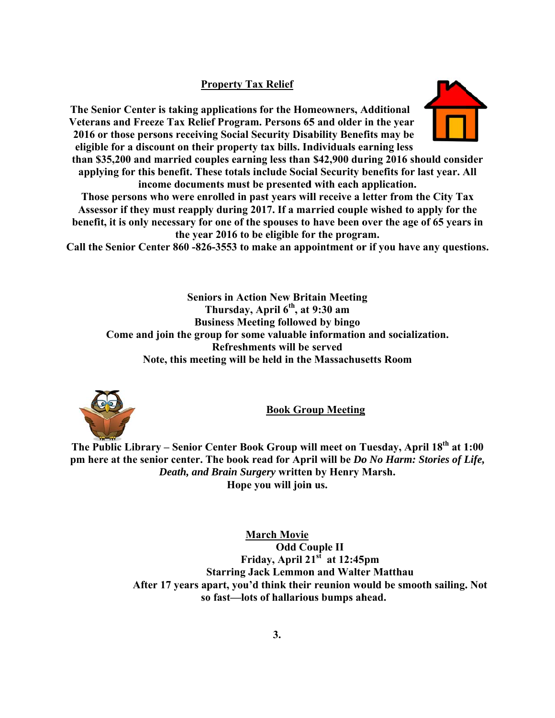# **Property Tax Relief**

The Senior Center is taking applications for the Homeowners, Additional Veterans and Freeze Tax Relief Program. Persons 65 and older in the year 2016 or those persons receiving Social Security Disability Benefits may be eligible for a discount on their property tax bills. Individuals earning less

than \$35,200 and married couples earning less than \$42,900 during 2016 should consider applying for this benefit. These totals include Social Security benefits for last year. All income documents must be presented with each application.

Those persons who were enrolled in past years will receive a letter from the City Tax Assessor if they must reapply during 2017. If a married couple wished to apply for the benefit, it is only necessary for one of the spouses to have been over the age of 65 years in the year 2016 to be eligible for the program.

Call the Senior Center 860 - 826-3553 to make an appointment or if you have any questions.

**Seniors in Action New Britain Meeting** Thursday, April 6<sup>th</sup>, at 9:30 am **Business Meeting followed by bingo** Come and join the group for some valuable information and socialization. Refreshments will be served Note, this meeting will be held in the Massachusetts Room



**Book Group Meeting** 

The Public Library – Senior Center Book Group will meet on Tuesday, April 18<sup>th</sup> at 1:00 pm here at the senior center. The book read for April will be *Do No Harm: Stories of Life*, Death, and Brain Surgery written by Henry Marsh. Hope you will join us.

> **March Movie Odd Couple II** Friday, April 21<sup>st</sup> at 12:45pm **Starring Jack Lemmon and Walter Matthau** After 17 years apart, you'd think their reunion would be smooth sailing. Not so fast—lots of hallarious bumps ahead.

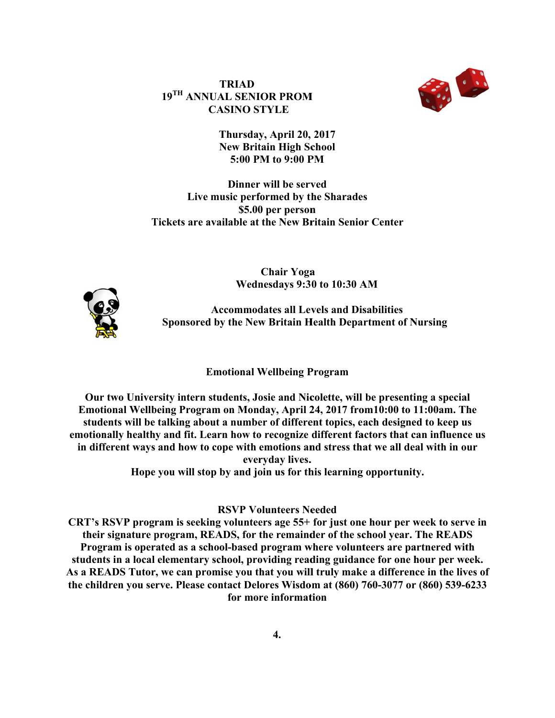$19^{TH}$  ANNUAL SENIOR PROM **TRIAD CASINO S TYLE** 



**Thursday y, April 20, 2017 New Britain High School 5:00 P PM to 9:00 P PM** 

**Tickets are available at the New Britain Senior Center** Live music performed by the Sharades **Dinner** will be served **\$5.00 0 per person**

> **Chair Yoga**<br> **Wednesdays 9:30 to 10:30 AM Chair Yoga**



**Sponsored by the New Britain Health Department of Nursing** Accommodates all Levels and Disabilities

### **E Emotional W Wellbeing P Program**

Our two University intern students, Josie and Nicolette, will be presenting a special Emotional Wellbeing Program on Monday, April 24, 2017 from10:00 to 11:00am. The students will be talking about a number of different topics, each designed to keep us **emotionally healthy and fit. Learn how to recognize different factors that can influence us** in different ways and how to cope with emotions and stress that we all deal with in our everyday lives.<br>
Hope you will stop by and join us for this learning opportunity. **ever ryday lives.**

### **RSVP Volunteers Needed**

**CRT's RSVP program is seeking volunteers age 55+ for just one hour per week to serve in their signature program, READS, for the remainder of the school year. The READS** Program is operated as a school-based program where volunteers are partnered with **students in a local elementary school, providing reading guidance for one hour per week.** As a READS Tutor, we can promise you that you will truly make a difference in the lives of the children you serve. Please contact Delores Wisdom at (860) 760-3077 or (860) 539-6233 for more information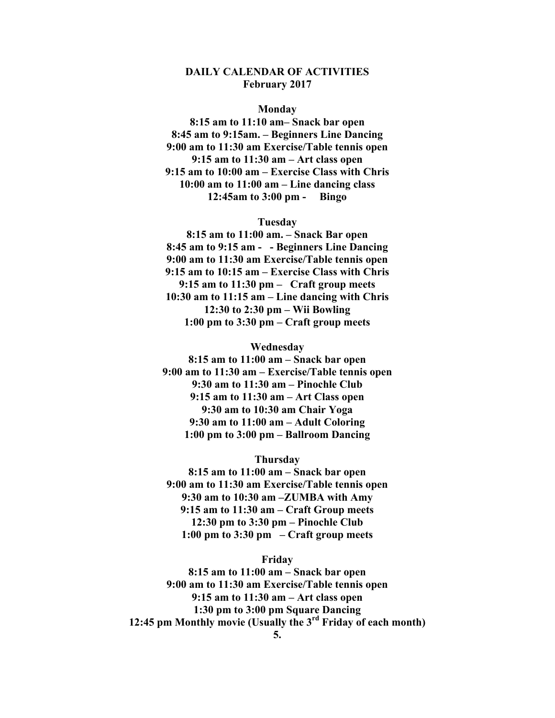## **DAILY CALENDAR OF ACTIVITIES February 2017**

#### **Monday**

**8:15 am to 11:10 am– Snack bar open 8:45 am to 9:15am. – Beginners Line Dancing 9:00 am to 11:30 am Exercise/Table tennis open 9:15 am to 11:30 am – Art class open 9:15 am to 10:00 am – Exercise Class with Chris 10:00 am to 11:00 am – Line dancing class 12:45am to 3:00 pm - Bingo** 

#### **Tuesday**

**8:15 am to 11:00 am. – Snack Bar open 8:45 am to 9:15 am - - Beginners Line Dancing 9:00 am to 11:30 am Exercise/Table tennis open 9:15 am to 10:15 am – Exercise Class with Chris 9:15 am to 11:30 pm – Craft group meets 10:30 am to 11:15 am – Line dancing with Chris 12:30 to 2:30 pm – Wii Bowling 1:00 pm to 3:30 pm – Craft group meets** 

#### **Wednesday**

**8:15 am to 11:00 am – Snack bar open 9:00 am to 11:30 am – Exercise/Table tennis open 9:30 am to 11:30 am – Pinochle Club 9:15 am to 11:30 am – Art Class open 9:30 am to 10:30 am Chair Yoga 9:30 am to 11:00 am – Adult Coloring 1:00 pm to 3:00 pm – Ballroom Dancing** 

#### **Thursday**

**8:15 am to 11:00 am – Snack bar open 9:00 am to 11:30 am Exercise/Table tennis open 9:30 am to 10:30 am –ZUMBA with Amy 9:15 am to 11:30 am – Craft Group meets 12:30 pm to 3:30 pm – Pinochle Club 1:00 pm to 3:30 pm – Craft group meets** 

#### **Friday**

**8:15 am to 11:00 am – Snack bar open 9:00 am to 11:30 am Exercise/Table tennis open 9:15 am to 11:30 am – Art class open 1:30 pm to 3:00 pm Square Dancing 12:45 pm Monthly movie (Usually the 3rd Friday of each month)**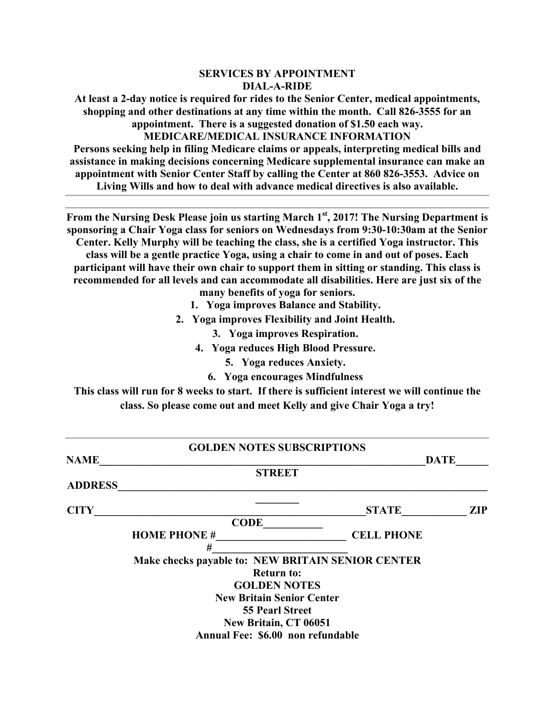## **SERVICES BY APPOINTMENT DIAL-A-RIDE**

**At least a 2-day notice is required for rides to the Senior Center, medical appointments, shopping and other destinations at any time within the month. Call 826-3555 for an appointment. There is a suggested donation of \$1.50 each way. MEDICARE/MEDICAL INSURANCE INFORMATION** 

**Persons seeking help in filing Medicare claims or appeals, interpreting medical bills and assistance in making decisions concerning Medicare supplemental insurance can make an appointment with Senior Center Staff by calling the Center at 860 826-3553. Advice on Living Wills and how to deal with advance medical directives is also available.** 

**From the Nursing Desk Please join us starting March 1st, 2017! The Nursing Department is sponsoring a Chair Yoga class for seniors on Wednesdays from 9:30-10:30am at the Senior Center. Kelly Murphy will be teaching the class, she is a certified Yoga instructor. This** 

**class will be a gentle practice Yoga, using a chair to come in and out of poses. Each participant will have their own chair to support them in sitting or standing. This class is recommended for all levels and can accommodate all disabilities. Here are just six of the many benefits of yoga for seniors.** 

- **1. Yoga improves Balance and Stability.**
- **2. Yoga improves Flexibility and Joint Health.** 
	- **3. Yoga improves Respiration.**
	- **4. Yoga reduces High Blood Pressure.** 
		- **5. Yoga reduces Anxiety.**
		- **6. Yoga encourages Mindfulness**

**This class will run for 8 weeks to start. If there is sufficient interest we will continue the class. So please come out and meet Kelly and give Chair Yoga a try!** 

|                    | <b>GOLDEN NOTES SUBSCRIPTIONS</b>                 |                   |            |
|--------------------|---------------------------------------------------|-------------------|------------|
| <b>NAME</b>        |                                                   | <b>DATE</b>       |            |
|                    | <b>STREET</b>                                     |                   |            |
| <b>ADDRESS</b>     |                                                   |                   |            |
|                    |                                                   |                   |            |
| <b>CITY</b>        |                                                   | <b>STATE</b>      | <b>ZIP</b> |
|                    | <b>CODE</b>                                       |                   |            |
| <b>HOME PHONE#</b> |                                                   | <b>CELL PHONE</b> |            |
|                    | #                                                 |                   |            |
|                    | Make checks payable to: NEW BRITAIN SENIOR CENTER |                   |            |
|                    | <b>Return to:</b>                                 |                   |            |
|                    | <b>GOLDEN NOTES</b>                               |                   |            |
|                    | <b>New Britain Senior Center</b>                  |                   |            |
|                    | <b>55 Pearl Street</b>                            |                   |            |
|                    | New Britain, CT 06051                             |                   |            |
|                    | Annual Fee: \$6.00 non refundable                 |                   |            |